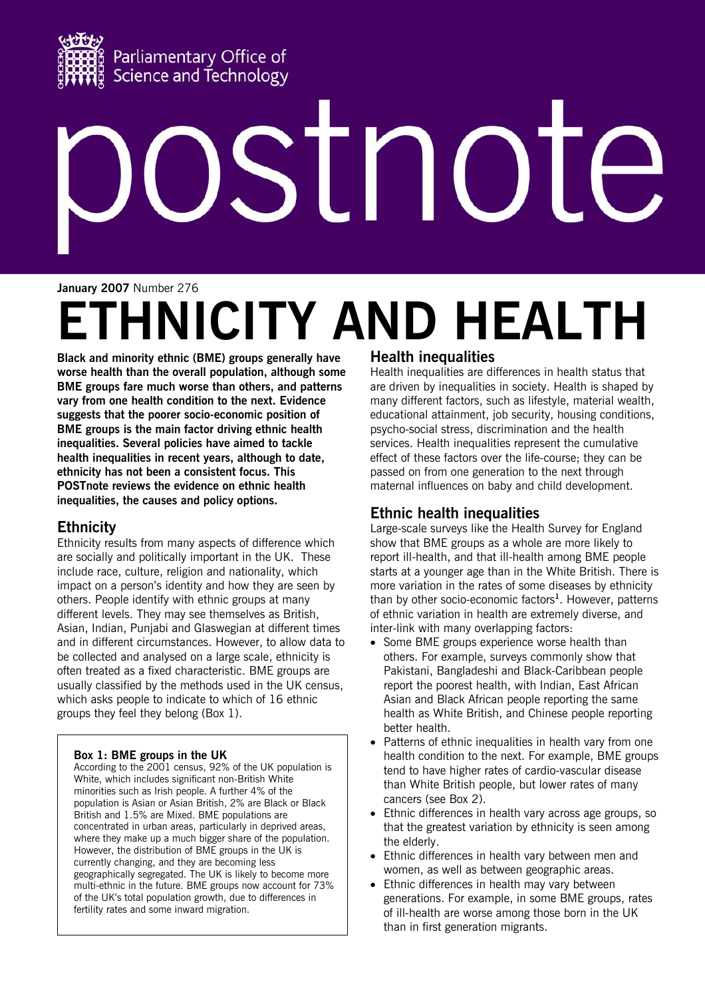

# $\Box$ I

#### **January 2007** Number 276

# **ETHNICITY AND HEALTH**

**Black and minority ethnic (BME) groups generally have worse health than the overall population, although some BME groups fare much worse than others, and patterns vary from one health condition to the next. Evidence suggests that the poorer socio-economic position of BME groups is the main factor driving ethnic health inequalities. Several policies have aimed to tackle health inequalities in recent years, although to date, ethnicity has not been a consistent focus. This POSTnote reviews the evidence on ethnic health inequalities, the causes and policy options.** 

# **Ethnicity**

Ethnicity results from many aspects of difference which are socially and politically important in the UK. These include race, culture, religion and nationality, which impact on a person's identity and how they are seen by others. People identify with ethnic groups at many different levels. They may see themselves as British, Asian, Indian, Punjabi and Glaswegian at different times and in different circumstances. However, to allow data to be collected and analysed on a large scale, ethnicity is often treated as a fixed characteristic. BME groups are usually classified by the methods used in the UK census, which asks people to indicate to which of 16 ethnic groups they feel they belong (Box 1).

# **Box 1: BME groups in the UK**

According to the 2001 census, 92% of the UK population is White, which includes significant non-British White minorities such as Irish people. A further 4% of the population is Asian or Asian British, 2% are Black or Black British and 1.5% are Mixed. BME populations are concentrated in urban areas, particularly in deprived areas, where they make up a much bigger share of the population. However, the distribution of BME groups in the UK is currently changing, and they are becoming less geographically segregated. The UK is likely to become more multi-ethnic in the future. BME groups now account for 73% of the UK's total population growth, due to differences in fertility rates and some inward migration.

# **Health inequalities**

Health inequalities are differences in health status that are driven by inequalities in society. Health is shaped by many different factors, such as lifestyle, material wealth, educational attainment, job security, housing conditions, psycho-social stress, discrimination and the health services. Health inequalities represent the cumulative effect of these factors over the life-course; they can be passed on from one generation to the next through maternal influences on baby and child development.

# **Ethnic health inequalities**

Large-scale surveys like the Health Survey for England show that BME groups as a whole are more likely to report ill-health, and that ill-health among BME people starts at a younger age than in the White British. There is more variation in the rates of some diseases by ethnicity than by other socio-economic factors**<sup>1</sup>** . However, patterns of ethnic variation in health are extremely diverse, and inter-link with many overlapping factors:

- Some BME groups experience worse health than others. For example, surveys commonly show that Pakistani, Bangladeshi and Black-Caribbean people report the poorest health, with Indian, East African Asian and Black African people reporting the same health as White British, and Chinese people reporting better health.
- Patterns of ethnic inequalities in health vary from one health condition to the next. For example, BME groups tend to have higher rates of cardio-vascular disease than White British people, but lower rates of many cancers (see Box 2).
- Ethnic differences in health vary across age groups, so that the greatest variation by ethnicity is seen among the elderly.
- Ethnic differences in health vary between men and women, as well as between geographic areas.
- Ethnic differences in health may vary between generations. For example, in some BME groups, rates of ill-health are worse among those born in the UK than in first generation migrants.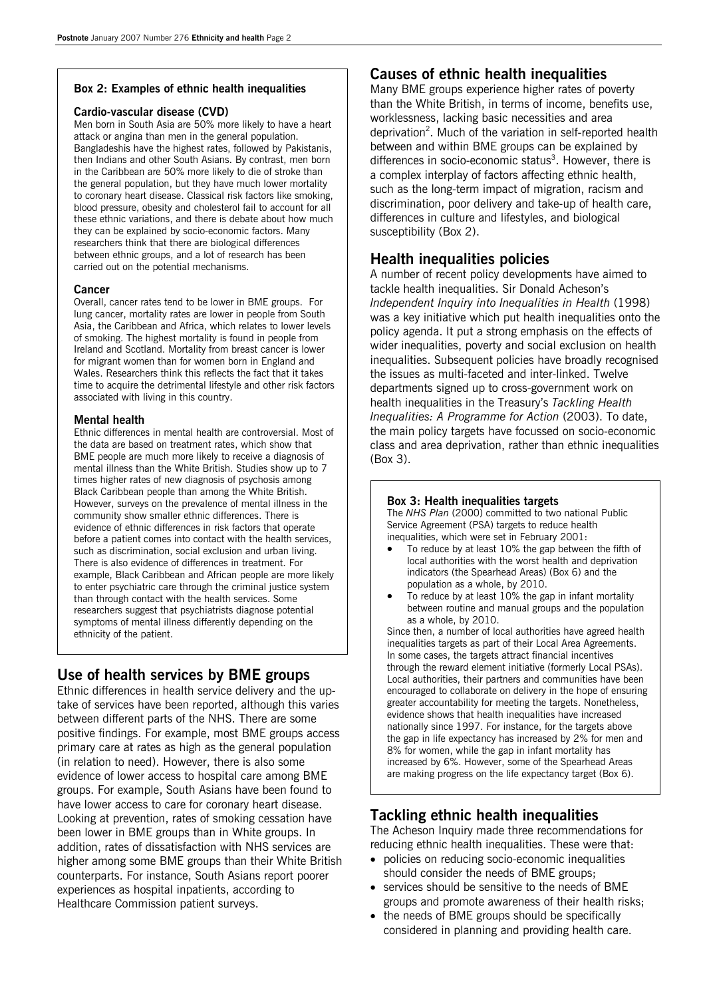#### **Box 2: Examples of ethnic health inequalities**

#### **Cardio-vascular disease (CVD)**

Men born in South Asia are 50% more likely to have a heart attack or angina than men in the general population. Bangladeshis have the highest rates, followed by Pakistanis, then Indians and other South Asians. By contrast, men born in the Caribbean are 50% more likely to die of stroke than the general population, but they have much lower mortality to coronary heart disease. Classical risk factors like smoking, blood pressure, obesity and cholesterol fail to account for all these ethnic variations, and there is debate about how much they can be explained by socio-economic factors. Many researchers think that there are biological differences between ethnic groups, and a lot of research has been carried out on the potential mechanisms.

#### **Cancer**

Overall, cancer rates tend to be lower in BME groups. For lung cancer, mortality rates are lower in people from South Asia, the Caribbean and Africa, which relates to lower levels of smoking. The highest mortality is found in people from Ireland and Scotland. Mortality from breast cancer is lower for migrant women than for women born in England and Wales. Researchers think this reflects the fact that it takes time to acquire the detrimental lifestyle and other risk factors associated with living in this country.

#### **Mental health**

Ethnic differences in mental health are controversial. Most of the data are based on treatment rates, which show that BME people are much more likely to receive a diagnosis of mental illness than the White British. Studies show up to 7 times higher rates of new diagnosis of psychosis among Black Caribbean people than among the White British. However, surveys on the prevalence of mental illness in the community show smaller ethnic differences. There is evidence of ethnic differences in risk factors that operate before a patient comes into contact with the health services, such as discrimination, social exclusion and urban living. There is also evidence of differences in treatment. For example, Black Caribbean and African people are more likely to enter psychiatric care through the criminal justice system than through contact with the health services. Some researchers suggest that psychiatrists diagnose potential symptoms of mental illness differently depending on the ethnicity of the patient.

# **Use of health services by BME groups**

Ethnic differences in health service delivery and the uptake of services have been reported, although this varies between different parts of the NHS. There are some positive findings. For example, most BME groups access primary care at rates as high as the general population (in relation to need). However, there is also some evidence of lower access to hospital care among BME groups. For example, South Asians have been found to have lower access to care for coronary heart disease. Looking at prevention, rates of smoking cessation have been lower in BME groups than in White groups. In addition, rates of dissatisfaction with NHS services are higher among some BME groups than their White British counterparts. For instance, South Asians report poorer experiences as hospital inpatients, according to Healthcare Commission patient surveys.

# **Causes of ethnic health inequalities**

Many BME groups experience higher rates of poverty than the White British, in terms of income, benefits use, worklessness, lacking basic necessities and area deprivation<sup>2</sup>. Much of the variation in self-reported health between and within BME groups can be explained by differences in socio-economic status<sup>3</sup>. However, there is a complex interplay of factors affecting ethnic health, such as the long-term impact of migration, racism and discrimination, poor delivery and take-up of health care, differences in culture and lifestyles, and biological susceptibility (Box 2).

# **Health inequalities policies**

A number of recent policy developments have aimed to tackle health inequalities. Sir Donald Acheson's *Independent Inquiry into Inequalities in Health* (1998) was a key initiative which put health inequalities onto the policy agenda. It put a strong emphasis on the effects of wider inequalities, poverty and social exclusion on health inequalities. Subsequent policies have broadly recognised the issues as multi-faceted and inter-linked. Twelve departments signed up to cross-government work on health inequalities in the Treasury's *Tackling Health Inequalities: A Programme for Action* (2003). To date, the main policy targets have focussed on socio-economic class and area deprivation, rather than ethnic inequalities (Box 3).

#### **Box 3: Health inequalities targets**

The *NHS Plan* (2000) committed to two national Public Service Agreement (PSA) targets to reduce health inequalities, which were set in February 2001:

- To reduce by at least 10% the gap between the fifth of local authorities with the worst health and deprivation indicators (the Spearhead Areas) (Box 6) and the population as a whole, by 2010.
- To reduce by at least 10% the gap in infant mortality between routine and manual groups and the population as a whole, by 2010.

Since then, a number of local authorities have agreed health inequalities targets as part of their Local Area Agreements. In some cases, the targets attract financial incentives through the reward element initiative (formerly Local PSAs). Local authorities, their partners and communities have been encouraged to collaborate on delivery in the hope of ensuring greater accountability for meeting the targets. Nonetheless, evidence shows that health inequalities have increased nationally since 1997. For instance, for the targets above the gap in life expectancy has increased by 2% for men and 8% for women, while the gap in infant mortality has increased by 6%. However, some of the Spearhead Areas are making progress on the life expectancy target (Box 6).

# **Tackling ethnic health inequalities**

The Acheson Inquiry made three recommendations for reducing ethnic health inequalities. These were that:

- policies on reducing socio-economic inequalities should consider the needs of BME groups;
- services should be sensitive to the needs of BME groups and promote awareness of their health risks;
- the needs of BME groups should be specifically considered in planning and providing health care.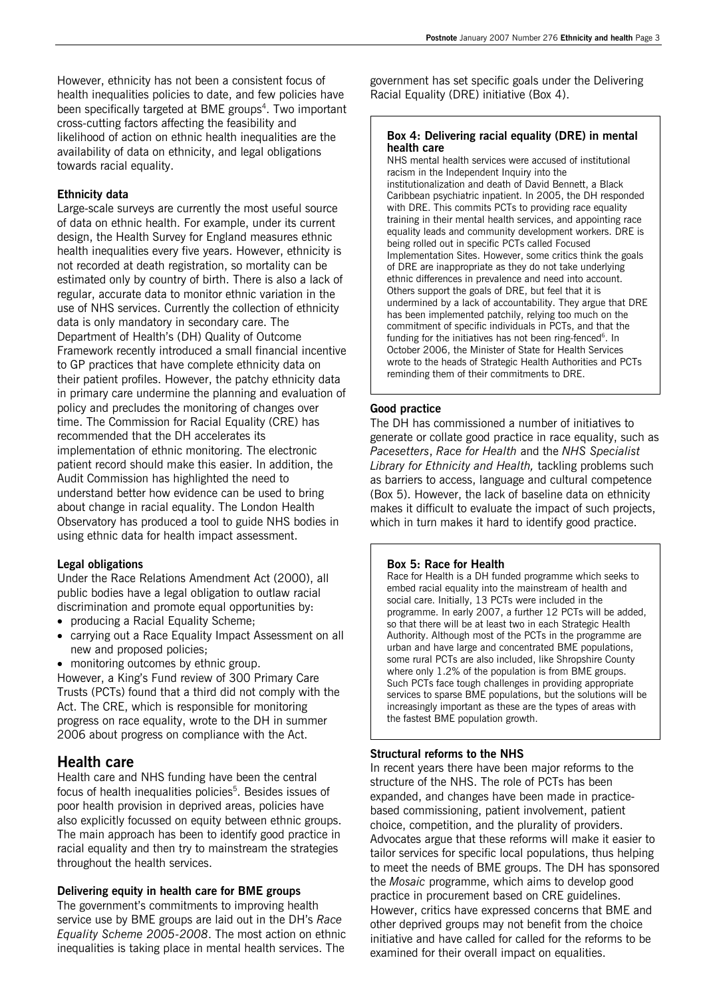However, ethnicity has not been a consistent focus of health inequalities policies to date, and few policies have been specifically targeted at BME groups<sup>4</sup>. Two important cross-cutting factors affecting the feasibility and likelihood of action on ethnic health inequalities are the availability of data on ethnicity, and legal obligations towards racial equality.

## **Ethnicity data**

Large-scale surveys are currently the most useful source of data on ethnic health. For example, under its current design, the Health Survey for England measures ethnic health inequalities every five years. However, ethnicity is not recorded at death registration, so mortality can be estimated only by country of birth. There is also a lack of regular, accurate data to monitor ethnic variation in the use of NHS services. Currently the collection of ethnicity data is only mandatory in secondary care. The Department of Health's (DH) Quality of Outcome Framework recently introduced a small financial incentive to GP practices that have complete ethnicity data on their patient profiles. However, the patchy ethnicity data in primary care undermine the planning and evaluation of policy and precludes the monitoring of changes over time. The Commission for Racial Equality (CRE) has recommended that the DH accelerates its implementation of ethnic monitoring. The electronic patient record should make this easier. In addition, the Audit Commission has highlighted the need to understand better how evidence can be used to bring about change in racial equality. The London Health Observatory has produced a tool to guide NHS bodies in using ethnic data for health impact assessment.

# **Legal obligations**

Under the Race Relations Amendment Act (2000), all public bodies have a legal obligation to outlaw racial discrimination and promote equal opportunities by:

- producing a Racial Equality Scheme;
- carrying out a Race Equality Impact Assessment on all new and proposed policies;
- monitoring outcomes by ethnic group.

However, a King's Fund review of 300 Primary Care Trusts (PCTs) found that a third did not comply with the Act. The CRE, which is responsible for monitoring progress on race equality, wrote to the DH in summer 2006 about progress on compliance with the Act.

# **Health care**

Health care and NHS funding have been the central focus of health inequalities policies<sup>5</sup>. Besides issues of poor health provision in deprived areas, policies have also explicitly focussed on equity between ethnic groups. The main approach has been to identify good practice in racial equality and then try to mainstream the strategies throughout the health services.

### **Delivering equity in health care for BME groups**

The government's commitments to improving health service use by BME groups are laid out in the DH's *Race Equality Scheme 2005-2008*. The most action on ethnic inequalities is taking place in mental health services. The government has set specific goals under the Delivering Racial Equality (DRE) initiative (Box 4).

#### **Box 4: Delivering racial equality (DRE) in mental health care**

NHS mental health services were accused of institutional racism in the Independent Inquiry into the institutionalization and death of David Bennett, a Black Caribbean psychiatric inpatient. In 2005, the DH responded with DRE. This commits PCTs to providing race equality training in their mental health services, and appointing race equality leads and community development workers. DRE is being rolled out in specific PCTs called Focused Implementation Sites. However, some critics think the goals of DRE are inappropriate as they do not take underlying ethnic differences in prevalence and need into account. Others support the goals of DRE, but feel that it is undermined by a lack of accountability. They argue that DRE has been implemented patchily, relying too much on the commitment of specific individuals in PCTs, and that the funding for the initiatives has not been ring-fenced<sup>6</sup>. In October 2006, the Minister of State for Health Services wrote to the heads of Strategic Health Authorities and PCTs reminding them of their commitments to DRE.

# **Good practice**

The DH has commissioned a number of initiatives to generate or collate good practice in race equality, such as *Pacesetters*, *Race for Health* and the *NHS Specialist Library for Ethnicity and Health,* tackling problems such as barriers to access, language and cultural competence (Box 5). However, the lack of baseline data on ethnicity makes it difficult to evaluate the impact of such projects, which in turn makes it hard to identify good practice.

### **Box 5: Race for Health**

Race for Health is a DH funded programme which seeks to embed racial equality into the mainstream of health and social care. Initially, 13 PCTs were included in the programme. In early 2007, a further 12 PCTs will be added, so that there will be at least two in each Strategic Health Authority. Although most of the PCTs in the programme are urban and have large and concentrated BME populations, some rural PCTs are also included, like Shropshire County where only 1.2% of the population is from BME groups. Such PCTs face tough challenges in providing appropriate services to sparse BME populations, but the solutions will be increasingly important as these are the types of areas with the fastest BME population growth.

### **Structural reforms to the NHS**

In recent years there have been major reforms to the structure of the NHS. The role of PCTs has been expanded, and changes have been made in practicebased commissioning, patient involvement, patient choice, competition, and the plurality of providers. Advocates argue that these reforms will make it easier to tailor services for specific local populations, thus helping to meet the needs of BME groups. The DH has sponsored the *Mosaic* programme, which aims to develop good practice in procurement based on CRE guidelines. However, critics have expressed concerns that BME and other deprived groups may not benefit from the choice initiative and have called for called for the reforms to be examined for their overall impact on equalities.